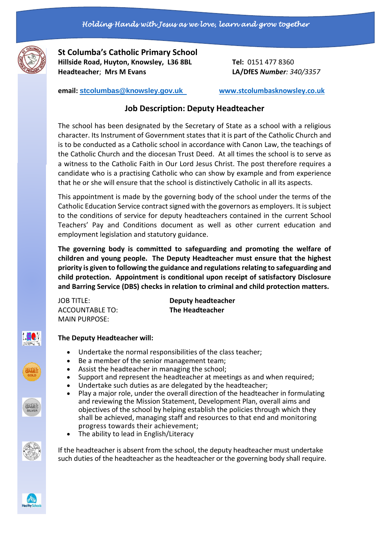

**St Columba's Catholic Primary School Hillside Road, Huyton, Knowsley, L36 8BL Tel:** 0151 477 8360 **Headteacher**; **Mrs M Evans LA/DfES** *Number: 340/3357*

**email: [stcolumbas@knowsley.gov.uk](mailto:stcolumbas@knowsley.gov.uk) [www.stcolumbasknowsley.co.uk](http://www.stcolumbasknowsley.co.uk/)**

# **Job Description: Deputy Headteacher**

The school has been designated by the Secretary of State as a school with a religious character. Its Instrument of Government states that it is part of the Catholic Church and is to be conducted as a Catholic school in accordance with Canon Law, the teachings of the Catholic Church and the diocesan Trust Deed. At all times the school is to serve as a witness to the Catholic Faith in Our Lord Jesus Christ. The post therefore requires a candidate who is a practising Catholic who can show by example and from experience that he or she will ensure that the school is distinctively Catholic in all its aspects.

This appointment is made by the governing body of the school under the terms of the Catholic Education Service contract signed with the governors as employers. It is subject to the conditions of service for deputy headteachers contained in the current School Teachers' Pay and Conditions document as well as other current education and employment legislation and statutory guidance.

**The governing body is committed to safeguarding and promoting the welfare of children and young people. The Deputy Headteacher must ensure that the highest priority is given to following the guidance and regulations relating to safeguarding and child protection. Appointment is conditional upon receipt of satisfactory Disclosure and Barring Service (DBS) checks in relation to criminal and child protection matters.** 

ACCOUNTABLE TO: **The Headteacher** MAIN PURPOSE:

JOB TITLE: **Deputy headteacher**

# /NFRP%

# **The Deputy Headteacher will:**

- Undertake the normal responsibilities of the class teacher;
- Be a member of the senior management team;
- Assist the headteacher in managing the school;
- Support and represent the headteacher at meetings as and when required;
- Undertake such duties as are delegated by the headteacher;
- Play a major role, under the overall direction of the headteacher in formulating and reviewing the Mission Statement, Development Plan, overall aims and objectives of the school by helping establish the policies through which they shall be achieved, managing staff and resources to that end and monitoring progress towards their achievement;
	- The ability to lead in English/Literacy

If the headteacher is absent from the school, the deputy headteacher must undertake such duties of the headteacher as the headteacher or the governing body shall require.

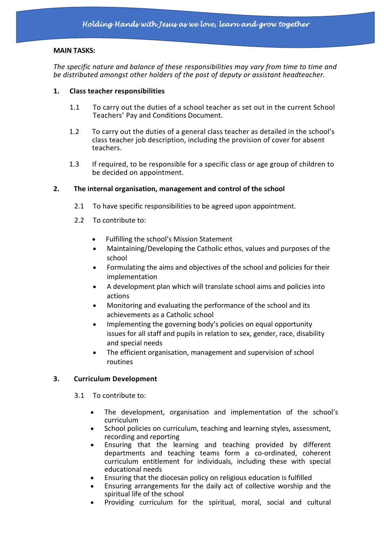#### **MAIN TASKS:**

*The specific nature and balance of these responsibilities may vary from time to time and be distributed amongst other holders of the post of deputy or assistant headteacher.*

#### **1. Class teacher responsibilities**

- 1.1 To carry out the duties of a school teacher as set out in the current School Teachers' Pay and Conditions Document.
- 1.2 To carry out the duties of a general class teacher as detailed in the school's class teacher job description, including the provision of cover for absent teachers.
- 1.3 If required, to be responsible for a specific class or age group of children to be decided on appointment.

# **2. The internal organisation, management and control of the school**

- 2.1 To have specific responsibilities to be agreed upon appointment.
- 2.2 To contribute to:
	- Fulfilling the school's Mission Statement
	- Maintaining/Developing the Catholic ethos, values and purposes of the school
	- Formulating the aims and objectives of the school and policies for their implementation
	- A development plan which will translate school aims and policies into actions
	- Monitoring and evaluating the performance of the school and its achievements as a Catholic school
	- Implementing the governing body's policies on equal opportunity issues for all staff and pupils in relation to sex, gender, race, disability and special needs
	- The efficient organisation, management and supervision of school routines

# **3. Curriculum Development**

- 3.1 To contribute to:
	- The development, organisation and implementation of the school's curriculum
	- School policies on curriculum, teaching and learning styles, assessment, recording and reporting
	- Ensuring that the learning and teaching provided by different departments and teaching teams form a co-ordinated, coherent curriculum entitlement for individuals, including these with special educational needs
	- Ensuring that the diocesan policy on religious education is fulfilled
	- Ensuring arrangements for the daily act of collective worship and the spiritual life of the school
	- Providing curriculum for the spiritual, moral, social and cultural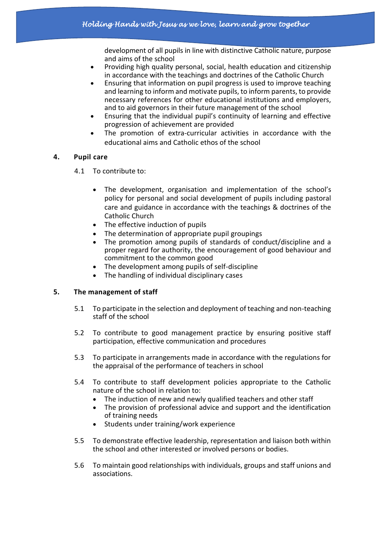development of all pupils in line with distinctive Catholic nature, purpose and aims of the school

- Providing high quality personal, social, health education and citizenship in accordance with the teachings and doctrines of the Catholic Church
- Ensuring that information on pupil progress is used to improve teaching and learning to inform and motivate pupils, to inform parents, to provide necessary references for other educational institutions and employers, and to aid governors in their future management of the school
- Ensuring that the individual pupil's continuity of learning and effective progression of achievement are provided
- The promotion of extra-curricular activities in accordance with the educational aims and Catholic ethos of the school

# **4. Pupil care**

- 4.1 To contribute to:
	- The development, organisation and implementation of the school's policy for personal and social development of pupils including pastoral care and guidance in accordance with the teachings & doctrines of the Catholic Church
	- The effective induction of pupils
	- The determination of appropriate pupil groupings
	- The promotion among pupils of standards of conduct/discipline and a proper regard for authority, the encouragement of good behaviour and commitment to the common good
	- The development among pupils of self-discipline
	- The handling of individual disciplinary cases

# **5. The management of staff**

- 5.1 To participate in the selection and deployment of teaching and non-teaching staff of the school
- 5.2 To contribute to good management practice by ensuring positive staff participation, effective communication and procedures
- 5.3 To participate in arrangements made in accordance with the regulations for the appraisal of the performance of teachers in school
- 5.4 To contribute to staff development policies appropriate to the Catholic nature of the school in relation to:
	- The induction of new and newly qualified teachers and other staff
	- The provision of professional advice and support and the identification of training needs
	- Students under training/work experience
- 5.5 To demonstrate effective leadership, representation and liaison both within the school and other interested or involved persons or bodies.
- 5.6 To maintain good relationships with individuals, groups and staff unions and associations.